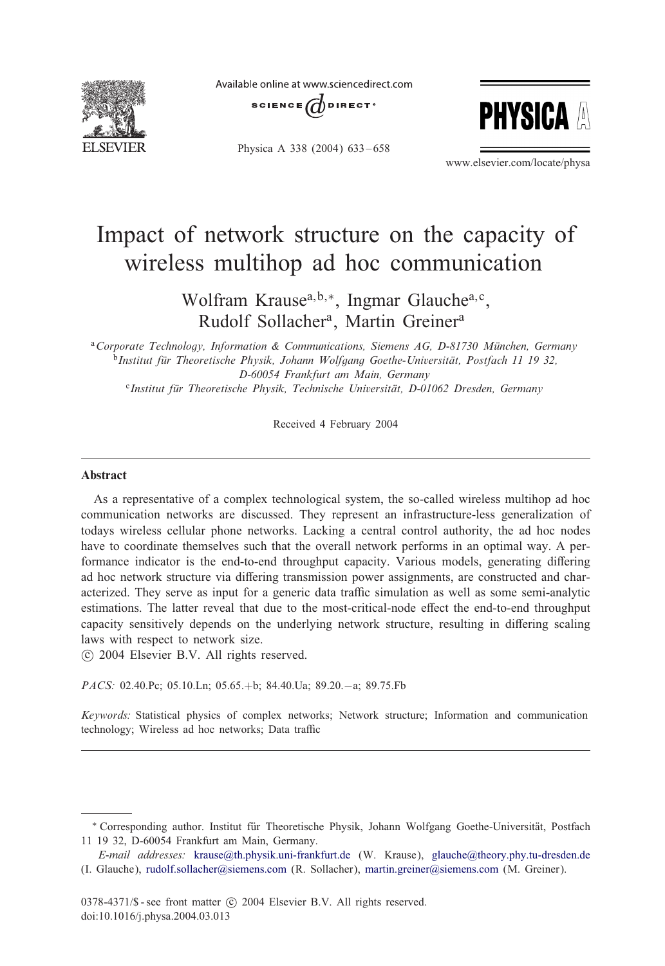

Available online at www.sciencedirect.com





Physica A 338 (2004) 633-658

www.elsevier.com/locate/physa

## Impact of network structure on the capacity of wireless multihop ad hoc communication

Wolfram Krause<sup>a, b,∗</sup>, Ingmar Glauche<sup>a, c</sup>, Rudolf Sollacher<sup>a</sup>, Martin Greiner<sup>a</sup>

<sup>a</sup> Corporate Technology, Information & Communications, Siemens AG, D-81730 München, Germany <sup>b</sup>*Institut fur Theoretische Physik, Johann Wolfgang Goethe-Universit " at, Postfach 11 19 32, " D-60054 Frankfurt am Main, Germany*

<sup>c</sup>*Institut fur Theoretische Physik, Technische Universit " at, D-01062 Dresden, Germany "*

Received 4 February 2004

## Abstract

As a representative of a complex technological system, the so-called wireless multihop ad hoc communication networks are discussed. They represent an infrastructure-less generalization of todays wireless cellular phone networks. Lacking a central control authority, the ad hoc nodes have to coordinate themselves such that the overall network performs in an optimal way. A performance indicator is the end-to-end throughput capacity. Various models, generating differing ad hoc network structure via differing transmission power assignments, are constructed and characterized. They serve as input for a generic data traffic simulation as well as some semi-analytic estimations. The latter reveal that due to the most-critical-node effect the end-to-end throughput capacity sensitively depends on the underlying network structure, resulting in differing scaling laws with respect to network size.

-c 2004 Elsevier B.V. All rights reserved.

*PACS:* 02.40.Pc; 05.10.Ln; 05.65.+b; 84.40.Ua; 89.20.−a; 89.75.Fb

*Keywords:* Statistical physics of complex networks; Network structure; Information and communication technology; Wireless ad hoc networks; Data traffic

<sup>\*</sup> Corresponding author. Institut für Theoretische Physik, Johann Wolfgang Goethe-Universität, Postfach 11 19 32, D-60054 Frankfurt am Main, Germany.

*E-mail addresses:* [krause@th.physik.uni-frankfurt.de](mailto:krause@th.physik.uni-frankfurt.de) (W. Krause), [glauche@theory.phy.tu-dresden.de](mailto:glauche@theory.phy.tu-dresden.de) (I. Glauche), [rudolf.sollacher@siemens.com](mailto:rudolf.sollacher@siemens.com) (R. Sollacher), [martin.greiner@siemens.com](mailto:martin.greiner@siemens.com) (M. Greiner).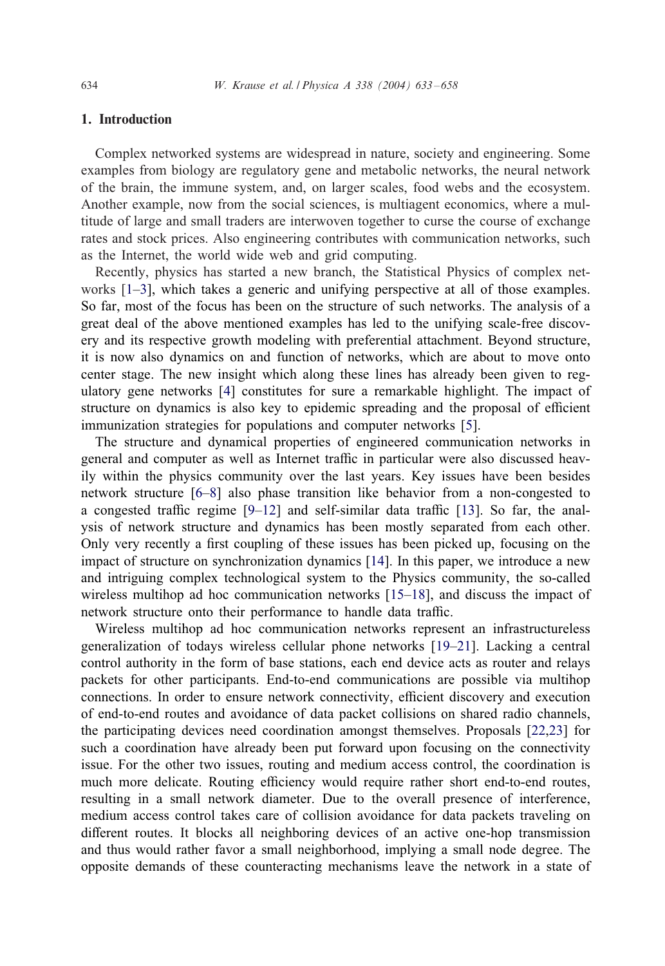## 1. Introduction

Complex networked systems are widespread in nature, society and engineering. Some examples from biology are regulatory gene and metabolic networks, the neural network of the brain, the immune system, and, on larger scales, food webs and the ecosystem. Another example, now from the social sciences, is multiagent economics, where a multitude of large and small traders are interwoven together to curse the course of exchange rates and stock prices. Also engineering contributes with communication networks, such as the Internet, the world wide web and grid computing.

Recently, physics has started a new branch, the Statistical Physics of complex networks [\[1–3\]](#page--1-0), which takes a generic and unifying perspective at all of those examples. So far, most of the focus has been on the structure of such networks. The analysis of a great deal of the above mentioned examples has led to the unifying scale-free discovery and its respective growth modeling with preferential attachment. Beyond structure, it is now also dynamics on and function of networks, which are about to move onto center stage. The new insight which along these lines has already been given to regulatory gene networks [\[4\]](#page--1-0) constitutes for sure a remarkable highlight. The impact of structure on dynamics is also key to epidemic spreading and the proposal of efficient immunization strategies for populations and computer networks [\[5\]](#page--1-0).

The structure and dynamical properties of engineered communication networks in general and computer as well as Internet traffic in particular were also discussed heavily within the physics community over the last years. Key issues have been besides network structure [\[6–8\]](#page--1-0) also phase transition like behavior from a non-congested to a congested traffic regime  $[9-12]$  and self-similar data traffic  $[13]$ . So far, the analysis of network structure and dynamics has been mostly separated from each other. Only very recently a first coupling of these issues has been picked up, focusing on the impact of structure on synchronization dynamics [\[14\]](#page--1-0). In this paper, we introduce a new and intriguing complex technological system to the Physics community, the so-called wireless multihop ad hoc communication networks [\[15–18\]](#page--1-0), and discuss the impact of network structure onto their performance to handle data traffic.

Wireless multihop ad hoc communication networks represent an infrastructureless generalization of todays wireless cellular phone networks [\[19–21\]](#page--1-0). Lacking a central control authority in the form of base stations, each end device acts as router and relays packets for other participants. End-to-end communications are possible via multihop connections. In order to ensure network connectivity, efficient discovery and execution of end-to-end routes and avoidance of data packet collisions on shared radio channels, the participating devices need coordination amongst themselves. Proposals [\[22,23\]](#page--1-0) for such a coordination have already been put forward upon focusing on the connectivity issue. For the other two issues, routing and medium access control, the coordination is much more delicate. Routing efficiency would require rather short end-to-end routes, resulting in a small network diameter. Due to the overall presence of interference, medium access control takes care of collision avoidance for data packets traveling on different routes. It blocks all neighboring devices of an active one-hop transmission and thus would rather favor a small neighborhood, implying a small node degree. The opposite demands of these counteracting mechanisms leave the network in a state of